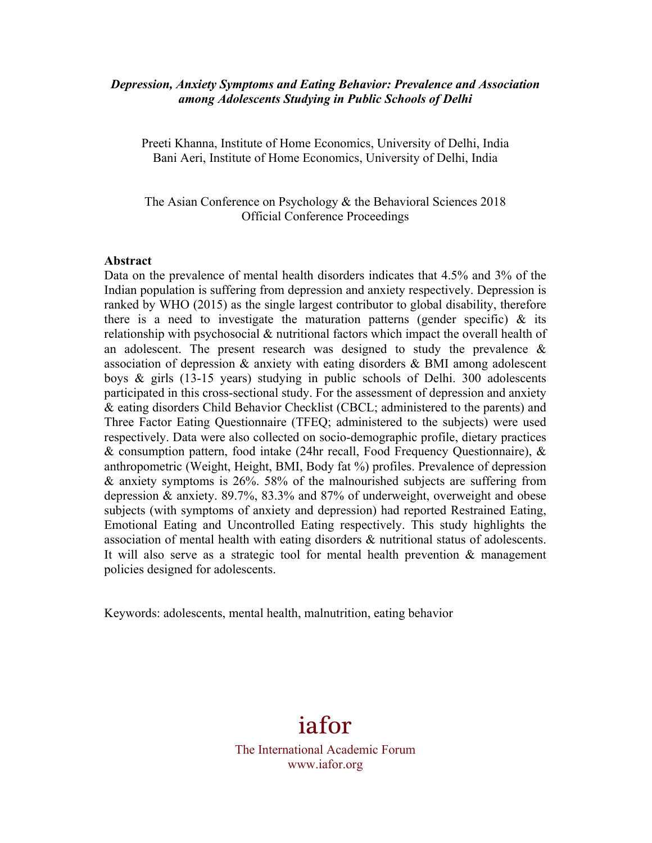## *Depression, Anxiety Symptoms and Eating Behavior: Prevalence and Association among Adolescents Studying in Public Schools of Delhi*

Preeti Khanna, Institute of Home Economics, University of Delhi, India Bani Aeri, Institute of Home Economics, University of Delhi, India

The Asian Conference on Psychology & the Behavioral Sciences 2018 Official Conference Proceedings

#### **Abstract**

Data on the prevalence of mental health disorders indicates that 4.5% and 3% of the Indian population is suffering from depression and anxiety respectively. Depression is ranked by WHO (2015) as the single largest contributor to global disability, therefore there is a need to investigate the maturation patterns (gender specific)  $\&$  its relationship with psychosocial & nutritional factors which impact the overall health of an adolescent. The present research was designed to study the prevalence  $\&$ association of depression & anxiety with eating disorders & BMI among adolescent boys & girls (13-15 years) studying in public schools of Delhi. 300 adolescents participated in this cross-sectional study. For the assessment of depression and anxiety & eating disorders Child Behavior Checklist (CBCL; administered to the parents) and Three Factor Eating Questionnaire (TFEQ; administered to the subjects) were used respectively. Data were also collected on socio-demographic profile, dietary practices & consumption pattern, food intake (24hr recall, Food Frequency Questionnaire), & anthropometric (Weight, Height, BMI, Body fat %) profiles. Prevalence of depression & anxiety symptoms is 26%. 58% of the malnourished subjects are suffering from depression & anxiety. 89.7%, 83.3% and 87% of underweight, overweight and obese subjects (with symptoms of anxiety and depression) had reported Restrained Eating, Emotional Eating and Uncontrolled Eating respectively. This study highlights the association of mental health with eating disorders & nutritional status of adolescents. It will also serve as a strategic tool for mental health prevention & management policies designed for adolescents.

Keywords: adolescents, mental health, malnutrition, eating behavior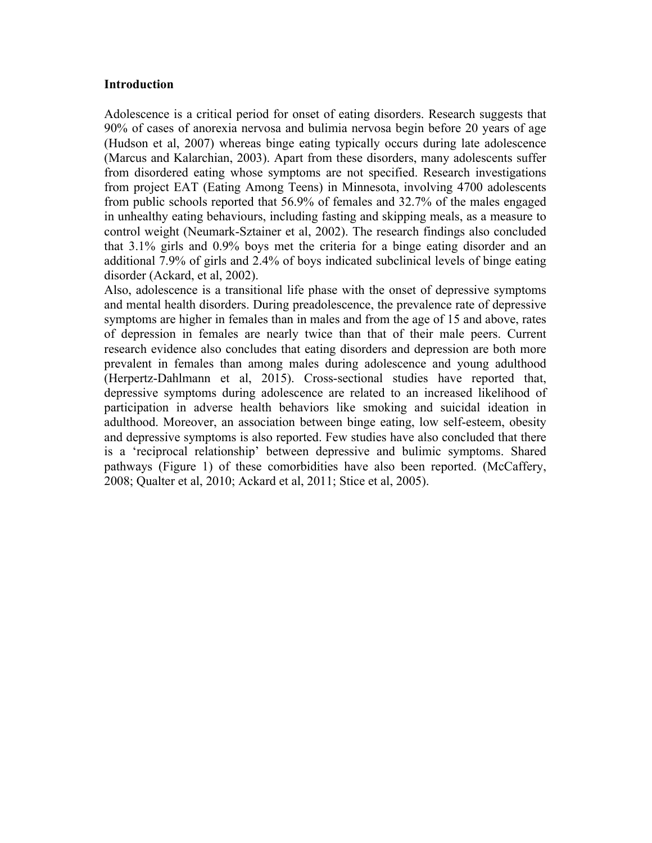#### **Introduction**

Adolescence is a critical period for onset of eating disorders. Research suggests that 90% of cases of anorexia nervosa and bulimia nervosa begin before 20 years of age (Hudson et al, 2007) whereas binge eating typically occurs during late adolescence (Marcus and Kalarchian, 2003). Apart from these disorders, many adolescents suffer from disordered eating whose symptoms are not specified. Research investigations from project EAT (Eating Among Teens) in Minnesota, involving 4700 adolescents from public schools reported that 56.9% of females and 32.7% of the males engaged in unhealthy eating behaviours, including fasting and skipping meals, as a measure to control weight (Neumark-Sztainer et al, 2002). The research findings also concluded that 3.1% girls and 0.9% boys met the criteria for a binge eating disorder and an additional 7.9% of girls and 2.4% of boys indicated subclinical levels of binge eating disorder (Ackard, et al, 2002).

Also, adolescence is a transitional life phase with the onset of depressive symptoms and mental health disorders. During preadolescence, the prevalence rate of depressive symptoms are higher in females than in males and from the age of 15 and above, rates of depression in females are nearly twice than that of their male peers. Current research evidence also concludes that eating disorders and depression are both more prevalent in females than among males during adolescence and young adulthood (Herpertz-Dahlmann et al, 2015). Cross-sectional studies have reported that, depressive symptoms during adolescence are related to an increased likelihood of participation in adverse health behaviors like smoking and suicidal ideation in adulthood. Moreover, an association between binge eating, low self-esteem, obesity and depressive symptoms is also reported. Few studies have also concluded that there is a 'reciprocal relationship' between depressive and bulimic symptoms. Shared pathways (Figure 1) of these comorbidities have also been reported. (McCaffery, 2008; Qualter et al, 2010; Ackard et al, 2011; Stice et al, 2005).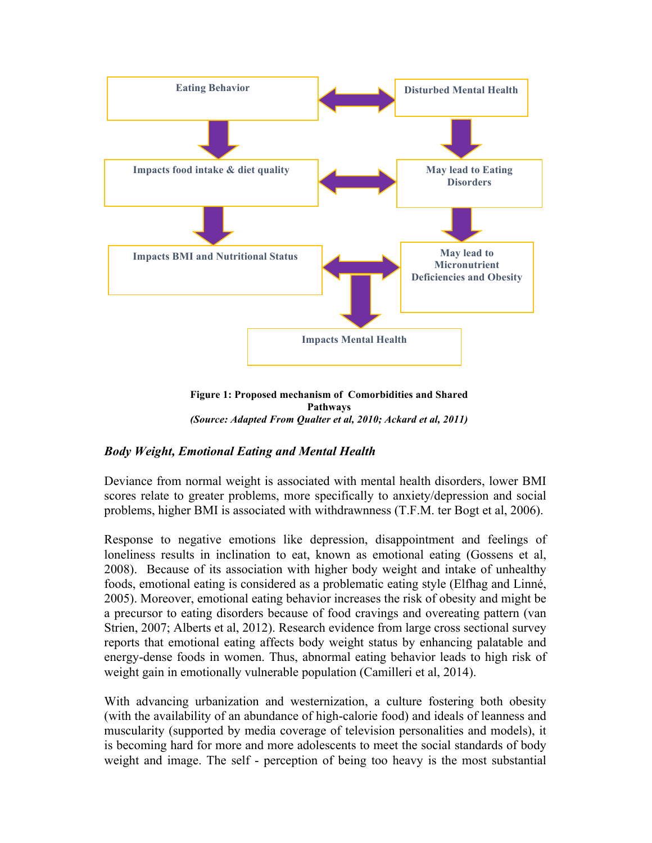

**Figure 1: Proposed mechanism of Comorbidities and Shared Pathways** *(Source: Adapted From Qualter et al, 2010; Ackard et al, 2011)*

# *Body Weight, Emotional Eating and Mental Health*

Deviance from normal weight is associated with mental health disorders, lower BMI scores relate to greater problems, more specifically to anxiety/depression and social problems, higher BMI is associated with withdrawnness (T.F.M. ter Bogt et al, 2006).

Response to negative emotions like depression, disappointment and feelings of loneliness results in inclination to eat, known as emotional eating (Gossens et al, 2008). Because of its association with higher body weight and intake of unhealthy foods, emotional eating is considered as a problematic eating style (Elfhag and Linné, 2005). Moreover, emotional eating behavior increases the risk of obesity and might be a precursor to eating disorders because of food cravings and overeating pattern (van Strien, 2007; Alberts et al, 2012). Research evidence from large cross sectional survey reports that emotional eating affects body weight status by enhancing palatable and energy-dense foods in women. Thus, abnormal eating behavior leads to high risk of weight gain in emotionally vulnerable population (Camilleri et al, 2014).

With advancing urbanization and westernization, a culture fostering both obesity (with the availability of an abundance of high-calorie food) and ideals of leanness and muscularity (supported by media coverage of television personalities and models), it is becoming hard for more and more adolescents to meet the social standards of body weight and image. The self - perception of being too heavy is the most substantial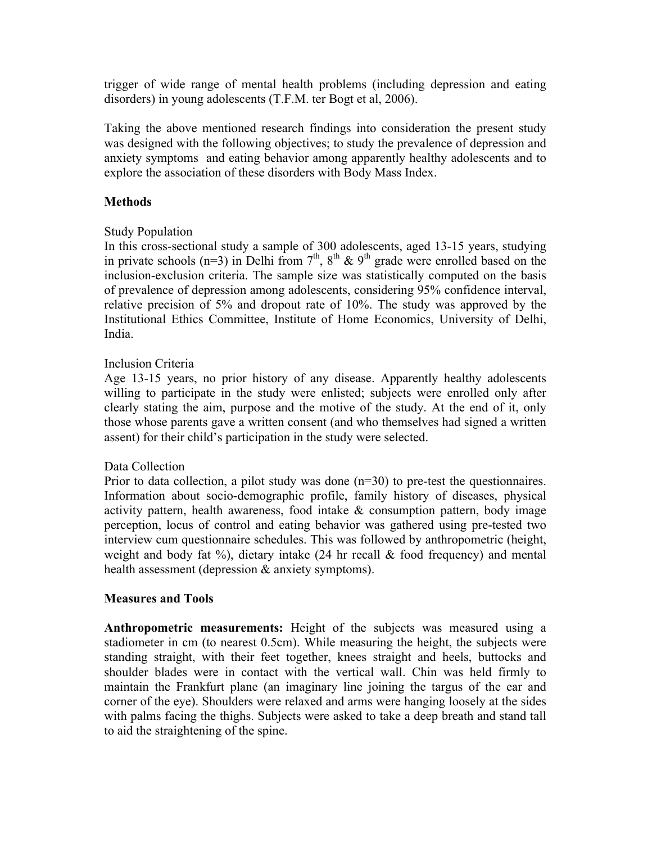trigger of wide range of mental health problems (including depression and eating disorders) in young adolescents (T.F.M. ter Bogt et al, 2006).

Taking the above mentioned research findings into consideration the present study was designed with the following objectives; to study the prevalence of depression and anxiety symptoms and eating behavior among apparently healthy adolescents and to explore the association of these disorders with Body Mass Index.

# **Methods**

# Study Population

In this cross-sectional study a sample of 300 adolescents, aged 13-15 years, studying in private schools  $(n=3)$  in Delhi from  $7<sup>th</sup>$ ,  $8<sup>th</sup>$  &  $9<sup>th</sup>$  grade were enrolled based on the inclusion-exclusion criteria. The sample size was statistically computed on the basis of prevalence of depression among adolescents, considering 95% confidence interval, relative precision of 5% and dropout rate of 10%. The study was approved by the Institutional Ethics Committee, Institute of Home Economics, University of Delhi, India.

### Inclusion Criteria

Age 13-15 years, no prior history of any disease. Apparently healthy adolescents willing to participate in the study were enlisted; subjects were enrolled only after clearly stating the aim, purpose and the motive of the study. At the end of it, only those whose parents gave a written consent (and who themselves had signed a written assent) for their child's participation in the study were selected.

### Data Collection

Prior to data collection, a pilot study was done (n=30) to pre-test the questionnaires. Information about socio-demographic profile, family history of diseases, physical activity pattern, health awareness, food intake  $\&$  consumption pattern, body image perception, locus of control and eating behavior was gathered using pre-tested two interview cum questionnaire schedules. This was followed by anthropometric (height, weight and body fat  $\%$ ), dietary intake (24 hr recall & food frequency) and mental health assessment (depression & anxiety symptoms).

### **Measures and Tools**

**Anthropometric measurements:** Height of the subjects was measured using a stadiometer in cm (to nearest 0.5cm). While measuring the height, the subjects were standing straight, with their feet together, knees straight and heels, buttocks and shoulder blades were in contact with the vertical wall. Chin was held firmly to maintain the Frankfurt plane (an imaginary line joining the targus of the ear and corner of the eye). Shoulders were relaxed and arms were hanging loosely at the sides with palms facing the thighs. Subjects were asked to take a deep breath and stand tall to aid the straightening of the spine.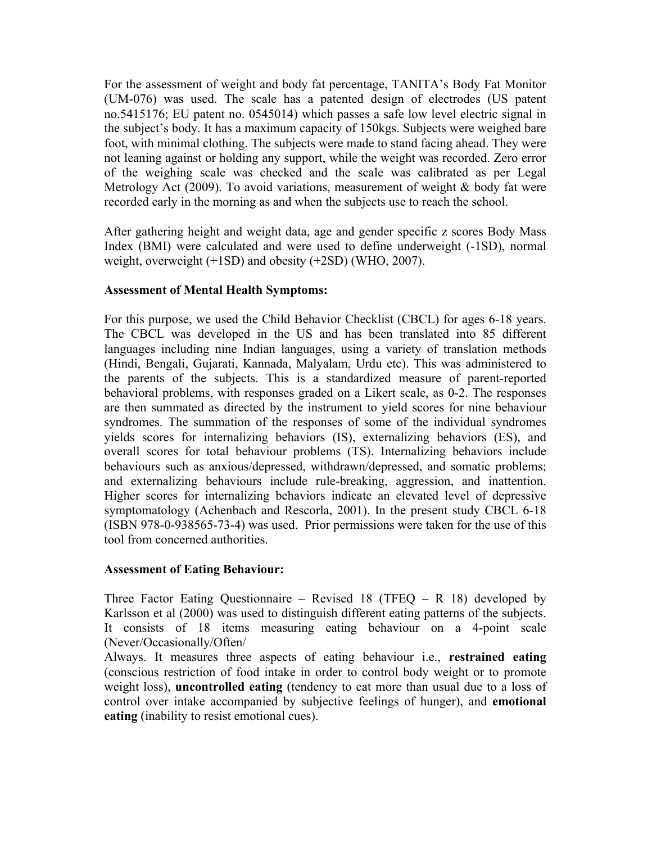For the assessment of weight and body fat percentage, TANITA's Body Fat Monitor (UM-076) was used. The scale has a patented design of electrodes (US patent no.5415176; EU patent no. 0545014) which passes a safe low level electric signal in the subject's body. It has a maximum capacity of 150kgs. Subjects were weighed bare foot, with minimal clothing. The subjects were made to stand facing ahead. They were not leaning against or holding any support, while the weight was recorded. Zero error of the weighing scale was checked and the scale was calibrated as per Legal Metrology Act (2009). To avoid variations, measurement of weight & body fat were recorded early in the morning as and when the subjects use to reach the school.

After gathering height and weight data, age and gender specific z scores Body Mass Index (BMI) were calculated and were used to define underweight (-1SD), normal weight, overweight (+1SD) and obesity (+2SD) (WHO, 2007).

# **Assessment of Mental Health Symptoms:**

For this purpose, we used the Child Behavior Checklist (CBCL) for ages 6-18 years. The CBCL was developed in the US and has been translated into 85 different languages including nine Indian languages, using a variety of translation methods (Hindi, Bengali, Gujarati, Kannada, Malyalam, Urdu etc). This was administered to the parents of the subjects. This is a standardized measure of parent-reported behavioral problems, with responses graded on a Likert scale, as 0-2. The responses are then summated as directed by the instrument to yield scores for nine behaviour syndromes. The summation of the responses of some of the individual syndromes yields scores for internalizing behaviors (IS), externalizing behaviors (ES), and overall scores for total behaviour problems (TS). Internalizing behaviors include behaviours such as anxious/depressed, withdrawn/depressed, and somatic problems; and externalizing behaviours include rule-breaking, aggression, and inattention. Higher scores for internalizing behaviors indicate an elevated level of depressive symptomatology (Achenbach and Rescorla, 2001). In the present study CBCL 6-18 (ISBN 978-0-938565-73-4) was used. Prior permissions were taken for the use of this tool from concerned authorities.

### **Assessment of Eating Behaviour:**

Three Factor Eating Questionnaire – Revised 18 (TFEQ – R 18) developed by Karlsson et al (2000) was used to distinguish different eating patterns of the subjects. It consists of 18 items measuring eating behaviour on a 4-point scale (Never/Occasionally/Often/

Always. It measures three aspects of eating behaviour i.e., **restrained eating** (conscious restriction of food intake in order to control body weight or to promote weight loss), **uncontrolled eating** (tendency to eat more than usual due to a loss of control over intake accompanied by subjective feelings of hunger), and **emotional eating** (inability to resist emotional cues).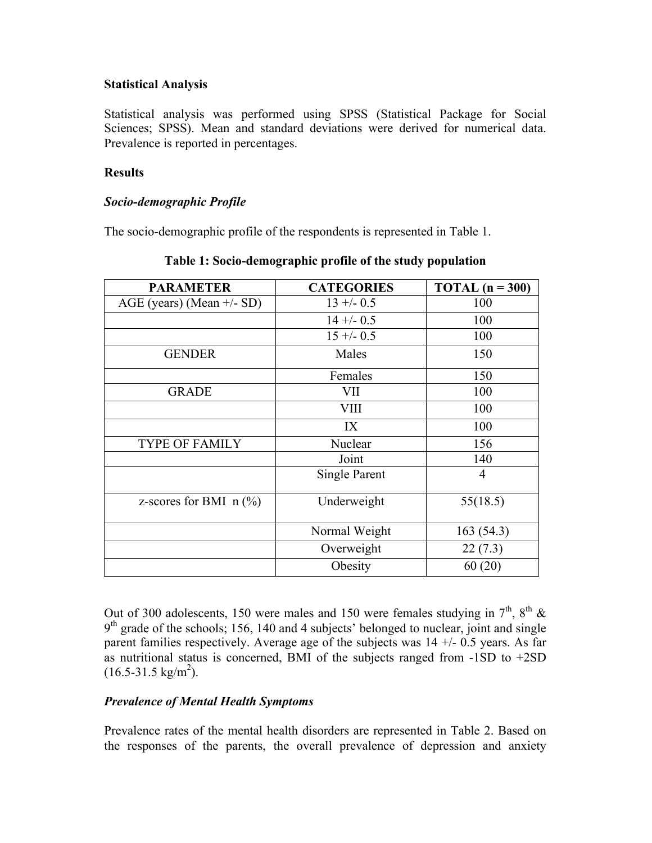# **Statistical Analysis**

Statistical analysis was performed using SPSS (Statistical Package for Social Sciences; SPSS). Mean and standard deviations were derived for numerical data. Prevalence is reported in percentages.

## **Results**

# *Socio-demographic Profile*

The socio-demographic profile of the respondents is represented in Table 1.

| <b>PARAMETER</b>            | <b>CATEGORIES</b> | TOTAL $(n = 300)$ |
|-----------------------------|-------------------|-------------------|
| AGE (years) (Mean $+/-$ SD) | $13 + (-0.5)$     | 100               |
|                             | $14 + (-0.5)$     | 100               |
|                             | $15 + (-0.5)$     | 100               |
| <b>GENDER</b>               | Males             | 150               |
|                             | Females           | 150               |
| <b>GRADE</b>                | VII               | 100               |
|                             | <b>VIII</b>       | 100               |
|                             | IX                | 100               |
| <b>TYPE OF FAMILY</b>       | Nuclear           | 156               |
|                             | Joint             | 140               |
|                             | Single Parent     | 4                 |
| z-scores for BMI $n$ (%)    | Underweight       | 55(18.5)          |
|                             | Normal Weight     | 163(54.3)         |
|                             | Overweight        | 22(7.3)           |
|                             | Obesity           | 60(20)            |

**Table 1: Socio-demographic profile of the study population**

Out of 300 adolescents, 150 were males and 150 were females studying in  $7<sup>th</sup>$ ,  $8<sup>th</sup>$  &  $9<sup>th</sup>$  grade of the schools; 156, 140 and 4 subjects' belonged to nuclear, joint and single parent families respectively. Average age of the subjects was  $14 + (-0.5)$  years. As far as nutritional status is concerned, BMI of the subjects ranged from -1SD to +2SD  $(16.5-31.5 \text{ kg/m}^2)$ .

### *Prevalence of Mental Health Symptoms*

Prevalence rates of the mental health disorders are represented in Table 2. Based on the responses of the parents, the overall prevalence of depression and anxiety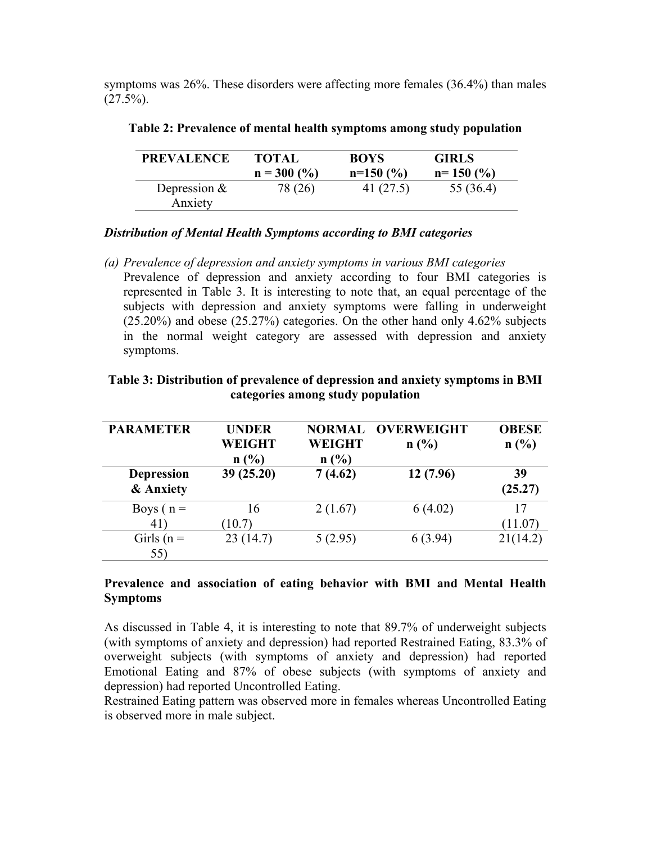symptoms was 26%. These disorders were affecting more females (36.4%) than males  $(27.5\%)$ .

| <b>PREVALENCE</b>         | <b>TOTAL</b>  | <b>BOYS</b> | <b>GIRLS</b> |
|---------------------------|---------------|-------------|--------------|
|                           | $n = 300$ (%) | $n=150(%)$  | $n=150(%)$   |
| Depression $&$<br>Anxiety | 78 (26)       | 41 (27.5)   | 55 (36.4)    |

**Table 2: Prevalence of mental health symptoms among study population**

# *Distribution of Mental Health Symptoms according to BMI categories*

*(a) Prevalence of depression and anxiety symptoms in various BMI categories* Prevalence of depression and anxiety according to four BMI categories is represented in Table 3. It is interesting to note that, an equal percentage of the subjects with depression and anxiety symptoms were falling in underweight (25.20%) and obese (25.27%) categories. On the other hand only 4.62% subjects in the normal weight category are assessed with depression and anxiety symptoms.

| categories among study population |                                |                       |                                  |                      |  |  |
|-----------------------------------|--------------------------------|-----------------------|----------------------------------|----------------------|--|--|
| <b>PARAMETER</b>                  | <b>UNDER</b><br>WEIGHT<br>n(%) | <b>WEIGHT</b><br>n(%) | <b>NORMAL OVERWEIGHT</b><br>n(%) | <b>OBESE</b><br>n(%) |  |  |
| <b>Depression</b><br>& Anxiety    | 39(25.20)                      | 7(4.62)               | 12(7.96)                         | 39<br>(25.27)        |  |  |
| Boys $(n =$                       | 16                             | 2(1.67)               | 6(4.02)                          |                      |  |  |

41)

Girls ( $n =$ 55)

 $(10.7)$ 

# **Table 3: Distribution of prevalence of depression and anxiety symptoms in BMI categories among study population**

### **Prevalence and association of eating behavior with BMI and Mental Health Symptoms**

23 (14.7) 5 (2.95) 6 (3.94) 21(14.2)

 $(11.07)$ 

As discussed in Table 4, it is interesting to note that 89.7% of underweight subjects (with symptoms of anxiety and depression) had reported Restrained Eating, 83.3% of overweight subjects (with symptoms of anxiety and depression) had reported Emotional Eating and 87% of obese subjects (with symptoms of anxiety and depression) had reported Uncontrolled Eating.

Restrained Eating pattern was observed more in females whereas Uncontrolled Eating is observed more in male subject.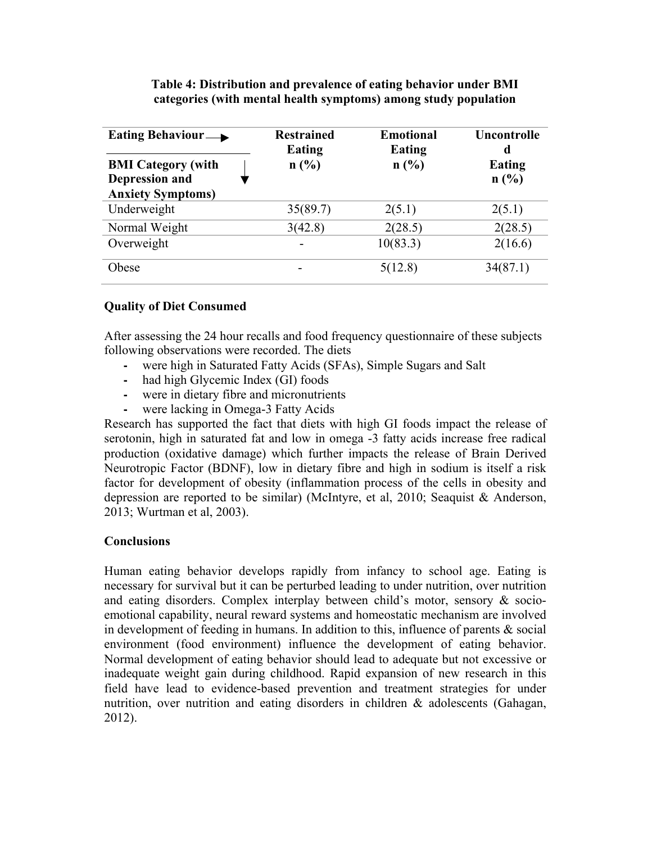| Eating Behaviour $\longrightarrow$                                             | <b>Restrained</b><br><b>Eating</b> | <b>Emotional</b><br><b>Eating</b> | Uncontrolle<br>d |
|--------------------------------------------------------------------------------|------------------------------------|-----------------------------------|------------------|
| <b>BMI</b> Category (with<br><b>Depression and</b><br><b>Anxiety Symptoms)</b> | n(%)                               | n(%)                              | Eating<br>n(%)   |
| Underweight                                                                    | 35(89.7)                           | 2(5.1)                            | 2(5.1)           |
| Normal Weight                                                                  | 3(42.8)                            | 2(28.5)                           | 2(28.5)          |
| Overweight                                                                     |                                    | 10(83.3)                          | 2(16.6)          |
| Obese                                                                          |                                    | 5(12.8)                           | 34(87.1)         |

# **Table 4: Distribution and prevalence of eating behavior under BMI categories (with mental health symptoms) among study population**

# **Quality of Diet Consumed**

After assessing the 24 hour recalls and food frequency questionnaire of these subjects following observations were recorded. The diets

- **-** were high in Saturated Fatty Acids (SFAs), Simple Sugars and Salt
- **-** had high Glycemic Index (GI) foods
- **-** were in dietary fibre and micronutrients
- **-** were lacking in Omega-3 Fatty Acids

Research has supported the fact that diets with high GI foods impact the release of serotonin, high in saturated fat and low in omega -3 fatty acids increase free radical production (oxidative damage) which further impacts the release of Brain Derived Neurotropic Factor (BDNF), low in dietary fibre and high in sodium is itself a risk factor for development of obesity (inflammation process of the cells in obesity and depression are reported to be similar) (McIntyre, et al, 2010; Seaquist & Anderson, 2013; Wurtman et al, 2003).

### **Conclusions**

Human eating behavior develops rapidly from infancy to school age. Eating is necessary for survival but it can be perturbed leading to under nutrition, over nutrition and eating disorders. Complex interplay between child's motor, sensory & socioemotional capability, neural reward systems and homeostatic mechanism are involved in development of feeding in humans. In addition to this, influence of parents & social environment (food environment) influence the development of eating behavior. Normal development of eating behavior should lead to adequate but not excessive or inadequate weight gain during childhood. Rapid expansion of new research in this field have lead to evidence-based prevention and treatment strategies for under nutrition, over nutrition and eating disorders in children & adolescents (Gahagan, 2012).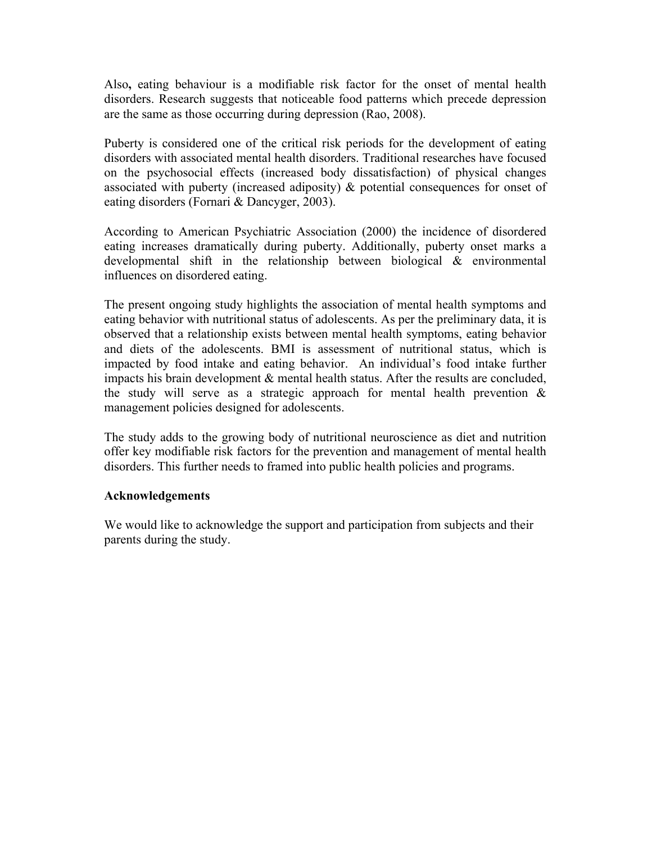Also**,** eating behaviour is a modifiable risk factor for the onset of mental health disorders. Research suggests that noticeable food patterns which precede depression are the same as those occurring during depression (Rao, 2008).

Puberty is considered one of the critical risk periods for the development of eating disorders with associated mental health disorders. Traditional researches have focused on the psychosocial effects (increased body dissatisfaction) of physical changes associated with puberty (increased adiposity) & potential consequences for onset of eating disorders (Fornari & Dancyger, 2003).

According to American Psychiatric Association (2000) the incidence of disordered eating increases dramatically during puberty. Additionally, puberty onset marks a developmental shift in the relationship between biological & environmental influences on disordered eating.

The present ongoing study highlights the association of mental health symptoms and eating behavior with nutritional status of adolescents. As per the preliminary data, it is observed that a relationship exists between mental health symptoms, eating behavior and diets of the adolescents. BMI is assessment of nutritional status, which is impacted by food intake and eating behavior. An individual's food intake further impacts his brain development & mental health status. After the results are concluded, the study will serve as a strategic approach for mental health prevention  $\&$ management policies designed for adolescents.

The study adds to the growing body of nutritional neuroscience as diet and nutrition offer key modifiable risk factors for the prevention and management of mental health disorders. This further needs to framed into public health policies and programs.

### **Acknowledgements**

We would like to acknowledge the support and participation from subjects and their parents during the study.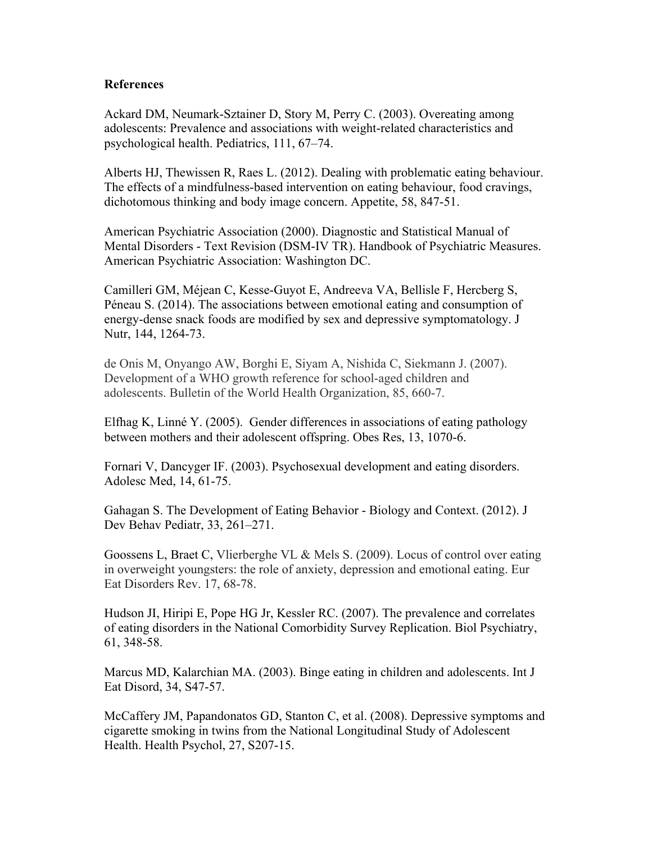### **References**

Ackard DM, Neumark-Sztainer D, Story M, Perry C. (2003). Overeating among adolescents: Prevalence and associations with weight-related characteristics and psychological health. Pediatrics, 111, 67–74.

Alberts HJ, Thewissen R, Raes L. (2012). Dealing with problematic eating behaviour. The effects of a mindfulness-based intervention on eating behaviour, food cravings, dichotomous thinking and body image concern. Appetite, 58, 847-51.

American Psychiatric Association (2000). Diagnostic and Statistical Manual of Mental Disorders - Text Revision (DSM-IV TR). Handbook of Psychiatric Measures. American Psychiatric Association: Washington DC.

Camilleri GM, Méjean C, Kesse-Guyot E, Andreeva VA, Bellisle F, Hercberg S, Péneau S. (2014). The associations between emotional eating and consumption of energy-dense snack foods are modified by sex and depressive symptomatology. J Nutr, 144, 1264-73.

de Onis M, Onyango AW, Borghi E, Siyam A, Nishida C, Siekmann J. (2007). Development of a WHO growth reference for school-aged children and adolescents. Bulletin of the World Health Organization, 85, 660-7.

Elfhag K, Linné Y. (2005). Gender differences in associations of eating pathology between mothers and their adolescent offspring. Obes Res, 13, 1070-6.

Fornari V, Dancyger IF. (2003). Psychosexual development and eating disorders. Adolesc Med, 14, 61-75.

Gahagan S. The Development of Eating Behavior - Biology and Context. (2012). J Dev Behav Pediatr, 33, 261–271.

Goossens L, Braet C, Vlierberghe VL & Mels S. (2009). Locus of control over eating in overweight youngsters: the role of anxiety, depression and emotional eating. Eur Eat Disorders Rev. 17, 68-78.

Hudson JI, Hiripi E, Pope HG Jr, Kessler RC. (2007). The prevalence and correlates of eating disorders in the National Comorbidity Survey Replication. Biol Psychiatry, 61, 348-58.

Marcus MD, Kalarchian MA. (2003). Binge eating in children and adolescents. Int J Eat Disord, 34, S47-57.

McCaffery JM, Papandonatos GD, Stanton C, et al. (2008). Depressive symptoms and cigarette smoking in twins from the National Longitudinal Study of Adolescent Health. Health Psychol, 27, S207-15.